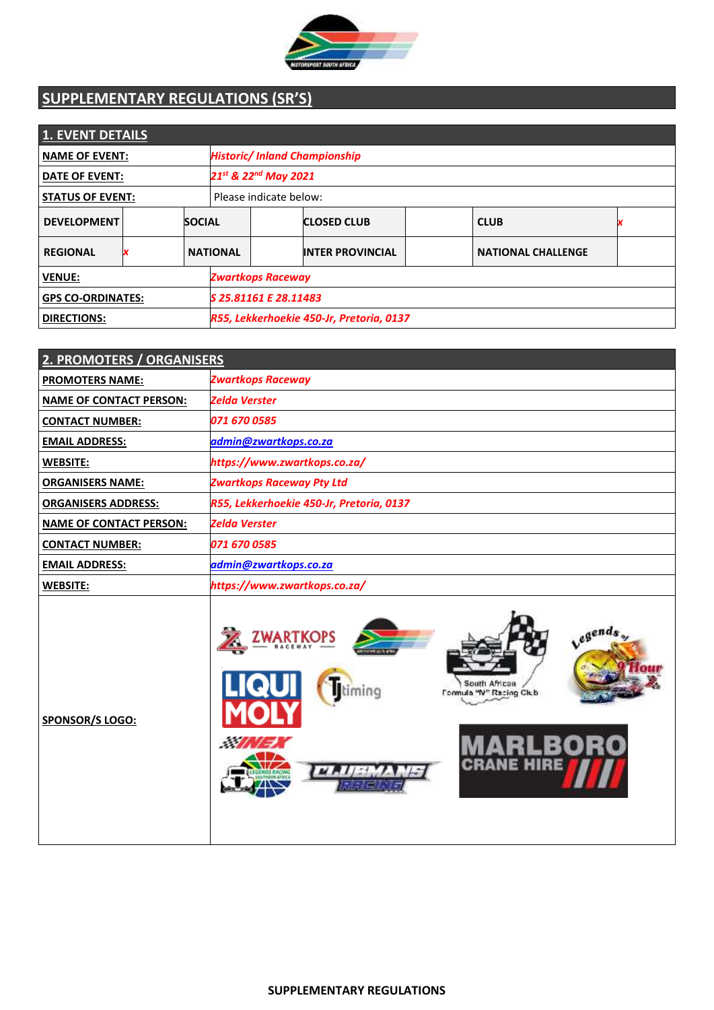

# **SUPPLEMENTARY REGULATIONS (SR'S)**

| <b>1. EVENT DETAILS</b>  |   |               |                                          |                         |  |                           |  |
|--------------------------|---|---------------|------------------------------------------|-------------------------|--|---------------------------|--|
| <b>NAME OF EVENT:</b>    |   |               | <b>Historic/ Inland Championship</b>     |                         |  |                           |  |
| <b>DATE OF EVENT:</b>    |   |               | 21st & 22 <sup>nd</sup> May 2021         |                         |  |                           |  |
| <b>STATUS OF EVENT:</b>  |   |               | Please indicate below:                   |                         |  |                           |  |
| <b>DEVELOPMENT</b>       |   | <b>SOCIAL</b> |                                          | <b>CLOSED CLUB</b>      |  | <b>CLUB</b>               |  |
| <b>REGIONAL</b>          | x |               | <b>NATIONAL</b>                          | <b>INTER PROVINCIAL</b> |  | <b>NATIONAL CHALLENGE</b> |  |
| <b>VENUE:</b>            |   |               | <b>Zwartkops Raceway</b>                 |                         |  |                           |  |
| <b>GPS CO-ORDINATES:</b> |   |               | S 25.81161 E 28.11483                    |                         |  |                           |  |
| <b>DIRECTIONS:</b>       |   |               | R55, Lekkerhoekie 450-Jr, Pretoria, 0137 |                         |  |                           |  |

| 2. PROMOTERS / ORGANISERS      |                                                                            |  |  |
|--------------------------------|----------------------------------------------------------------------------|--|--|
| <b>PROMOTERS NAME:</b>         | <b>Zwartkops Raceway</b>                                                   |  |  |
| <b>NAME OF CONTACT PERSON:</b> | <b>Zelda Verster</b>                                                       |  |  |
| <b>CONTACT NUMBER:</b>         | 071 670 0585                                                               |  |  |
| <b>EMAIL ADDRESS:</b>          | admin@zwartkops.co.za                                                      |  |  |
| <b>WEBSITE:</b>                | https://www.zwartkops.co.za/                                               |  |  |
| <b>ORGANISERS NAME:</b>        | <b>Zwartkops Raceway Pty Ltd</b>                                           |  |  |
| <b>ORGANISERS ADDRESS:</b>     | R55, Lekkerhoekie 450-Jr, Pretoria, 0137                                   |  |  |
| <b>NAME OF CONTACT PERSON:</b> | <b>Zelda Verster</b>                                                       |  |  |
| <b>CONTACT NUMBER:</b>         | 071 670 0585                                                               |  |  |
| <b>EMAIL ADDRESS:</b>          | admin@zwartkops.co.za                                                      |  |  |
| <b>WEBSITE:</b>                | https://www.zwartkops.co.za/                                               |  |  |
| SPONSOR/S LOGO:                | Legends<br>South African<br>pnim<br>Formula "W" Racing Club<br>$\sim$<br>Ε |  |  |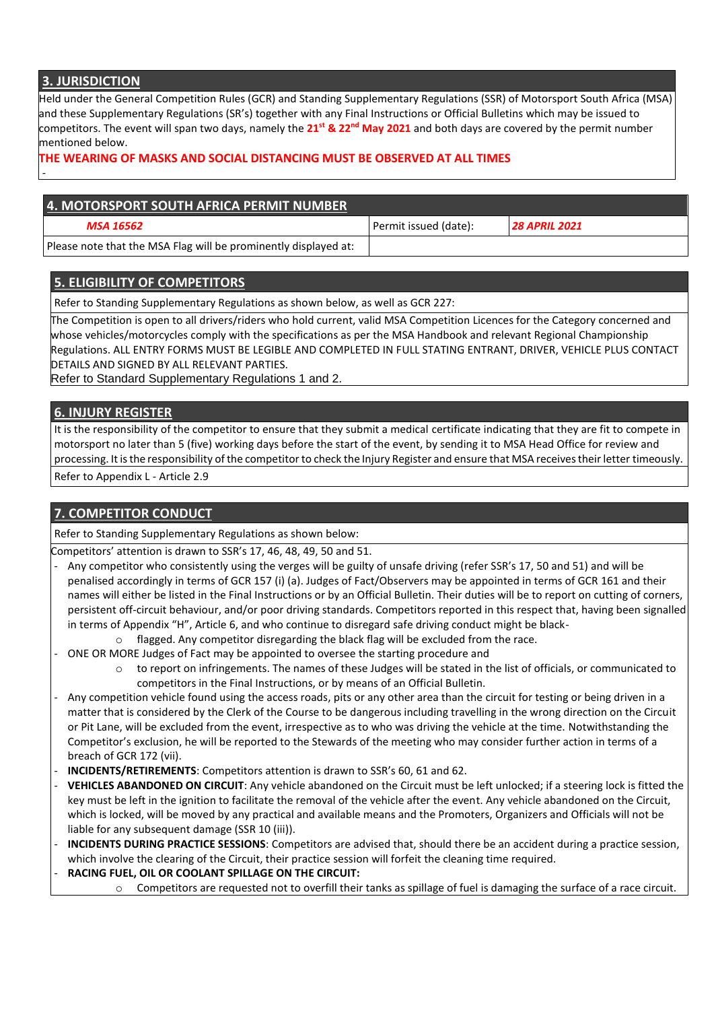### **3. JURISDICTION**

-

Held under the General Competition Rules (GCR) and Standing Supplementary Regulations (SSR) of Motorsport South Africa (MSA) and these Supplementary Regulations (SR's) together with any Final Instructions or Official Bulletins which may be issued to competitors. The event will span two days, namely the **21st & 22nd May 2021** and both days are covered by the permit number mentioned below.

#### **THE WEARING OF MASKS AND SOCIAL DISTANCING MUST BE OBSERVED AT ALL TIMES**

### **4. MOTORSPORT SOUTH AFRICA PERMIT NUMBER**

#### *MSA 16562* Permit issued (date): *28 APRIL 2021*

Please note that the MSA Flag will be prominently displayed at:

# **5. ELIGIBILITY OF COMPETITORS**

Refer to Standing Supplementary Regulations as shown below, as well as GCR 227:

The Competition is open to all drivers/riders who hold current, valid MSA Competition Licences for the Category concerned and whose vehicles/motorcycles comply with the specifications as per the MSA Handbook and relevant Regional Championship Regulations. ALL ENTRY FORMS MUST BE LEGIBLE AND COMPLETED IN FULL STATING ENTRANT, DRIVER, VEHICLE PLUS CONTACT DETAILS AND SIGNED BY ALL RELEVANT PARTIES.

Refer to Standard Supplementary Regulations 1 and 2.

### **6. INJURY REGISTER**

It is the responsibility of the competitor to ensure that they submit a medical certificate indicating that they are fit to compete in motorsport no later than 5 (five) working days before the start of the event, by sending it to MSA Head Office for review and processing. It is the responsibility of the competitor to check the Injury Register and ensure that MSA receives their letter timeously.

Refer to Appendix L - Article 2.9

#### **7. COMPETITOR CONDUCT**

Refer to Standing Supplementary Regulations as shown below:

Competitors' attention is drawn to SSR's 17, 46, 48, 49, 50 and 51.

- Any competitor who consistently using the verges will be guilty of unsafe driving (refer SSR's 17, 50 and 51) and will be penalised accordingly in terms of GCR 157 (i) (a). Judges of Fact/Observers may be appointed in terms of GCR 161 and their names will either be listed in the Final Instructions or by an Official Bulletin. Their duties will be to report on cutting of corners, persistent off-circuit behaviour, and/or poor driving standards. Competitors reported in this respect that, having been signalled in terms of Appendix "H", Article 6, and who continue to disregard safe driving conduct might be black-
	- $\circ$  flagged. Any competitor disregarding the black flag will be excluded from the race.
- ONE OR MORE Judges of Fact may be appointed to oversee the starting procedure and
	- $\circ$  to report on infringements. The names of these Judges will be stated in the list of officials, or communicated to competitors in the Final Instructions, or by means of an Official Bulletin.
- Any competition vehicle found using the access roads, pits or any other area than the circuit for testing or being driven in a matter that is considered by the Clerk of the Course to be dangerous including travelling in the wrong direction on the Circuit or Pit Lane, will be excluded from the event, irrespective as to who was driving the vehicle at the time. Notwithstanding the Competitor's exclusion, he will be reported to the Stewards of the meeting who may consider further action in terms of a breach of GCR 172 (vii).
- **INCIDENTS/RETIREMENTS**: Competitors attention is drawn to SSR's 60, 61 and 62.
- **VEHICLES ABANDONED ON CIRCUIT**: Any vehicle abandoned on the Circuit must be left unlocked; if a steering lock is fitted the key must be left in the ignition to facilitate the removal of the vehicle after the event. Any vehicle abandoned on the Circuit, which is locked, will be moved by any practical and available means and the Promoters, Organizers and Officials will not be liable for any subsequent damage (SSR 10 (iii)).
- **INCIDENTS DURING PRACTICE SESSIONS**: Competitors are advised that, should there be an accident during a practice session, which involve the clearing of the Circuit, their practice session will forfeit the cleaning time required.
- **RACING FUEL, OIL OR COOLANT SPILLAGE ON THE CIRCUIT:**
	- o Competitors are requested not to overfill their tanks as spillage of fuel is damaging the surface of a race circuit.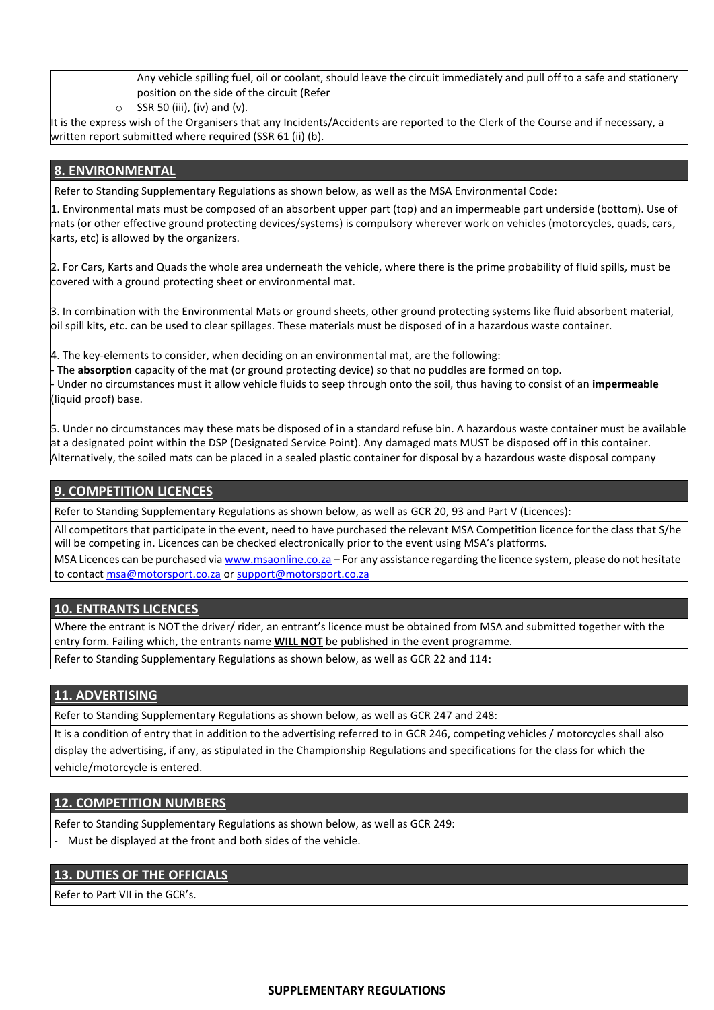Any vehicle spilling fuel, oil or coolant, should leave the circuit immediately and pull off to a safe and stationery position on the side of the circuit (Refer

 $\circ$  SSR 50 (iii), (iv) and (v).

It is the express wish of the Organisers that any Incidents/Accidents are reported to the Clerk of the Course and if necessary, a written report submitted where required (SSR 61 (ii) (b).

### **8. ENVIRONMENTAL**

Refer to Standing Supplementary Regulations as shown below, as well as the MSA Environmental Code:

1. Environmental mats must be composed of an absorbent upper part (top) and an impermeable part underside (bottom). Use of mats (or other effective ground protecting devices/systems) is compulsory wherever work on vehicles (motorcycles, quads, cars, karts, etc) is allowed by the organizers.

2. For Cars, Karts and Quads the whole area underneath the vehicle, where there is the prime probability of fluid spills, must be covered with a ground protecting sheet or environmental mat.

3. In combination with the Environmental Mats or ground sheets, other ground protecting systems like fluid absorbent material, oil spill kits, etc. can be used to clear spillages. These materials must be disposed of in a hazardous waste container.

4. The key-elements to consider, when deciding on an environmental mat, are the following:

- The **absorption** capacity of the mat (or ground protecting device) so that no puddles are formed on top. - Under no circumstances must it allow vehicle fluids to seep through onto the soil, thus having to consist of an **impermeable**  (liquid proof) base.

5. Under no circumstances may these mats be disposed of in a standard refuse bin. A hazardous waste container must be available at a designated point within the DSP (Designated Service Point). Any damaged mats MUST be disposed off in this container. Alternatively, the soiled mats can be placed in a sealed plastic container for disposal by a hazardous waste disposal company

### **9. COMPETITION LICENCES**

Refer to Standing Supplementary Regulations as shown below, as well as GCR 20, 93 and Part V (Licences):

All competitors that participate in the event, need to have purchased the relevant MSA Competition licence for the class that S/he will be competing in. Licences can be checked electronically prior to the event using MSA's platforms.

MSA Licences can be purchased via [www.msaonline.co.za](http://www.msaonline.co.za/) – For any assistance regarding the licence system, please do not hesitate to contact [msa@motorsport.co.za](mailto:msa@motorsport.co.za) o[r support@motorsport.co.za](mailto:support@motorsport.co.za)

#### **10. ENTRANTS LICENCES**

Where the entrant is NOT the driver/ rider, an entrant's licence must be obtained from MSA and submitted together with the entry form. Failing which, the entrants name **WILL NOT** be published in the event programme.

Refer to Standing Supplementary Regulations as shown below, as well as GCR 22 and 114:

### **11. ADVERTISING**

Refer to Standing Supplementary Regulations as shown below, as well as GCR 247 and 248:

It is a condition of entry that in addition to the advertising referred to in GCR 246, competing vehicles / motorcycles shall also display the advertising, if any, as stipulated in the Championship Regulations and specifications for the class for which the vehicle/motorcycle is entered.

#### **12. COMPETITION NUMBERS**

Refer to Standing Supplementary Regulations as shown below, as well as GCR 249:

Must be displayed at the front and both sides of the vehicle.

### **13. DUTIES OF THE OFFICIALS**

Refer to Part VII in the GCR's.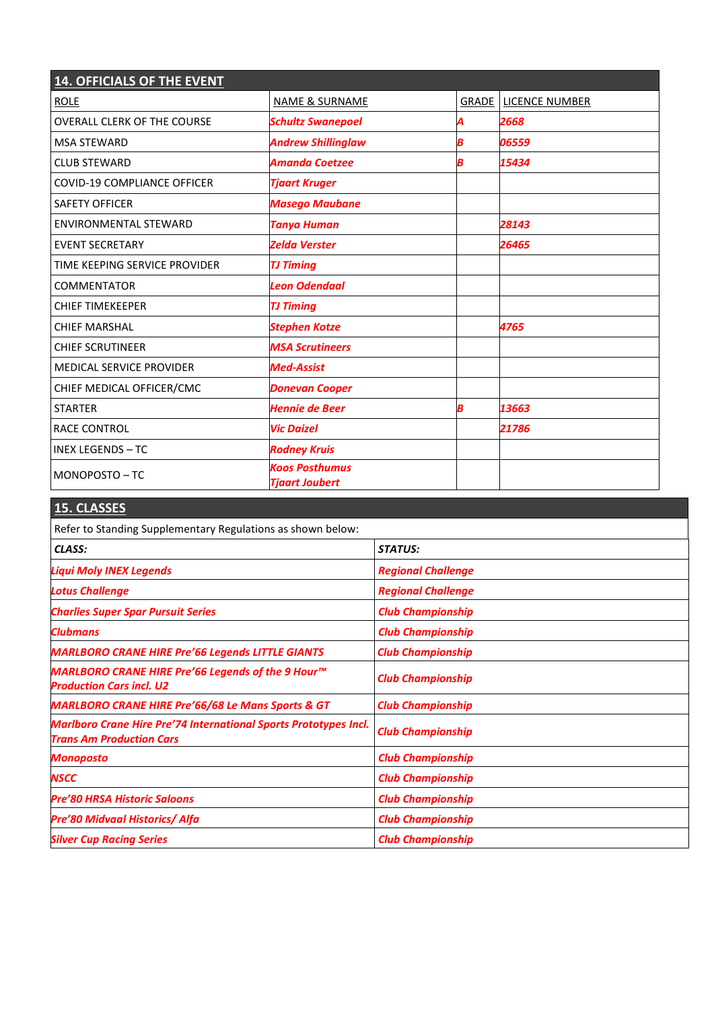| <b>14. OFFICIALS OF THE EVENT</b>  |                                                |       |                       |
|------------------------------------|------------------------------------------------|-------|-----------------------|
| <b>ROLE</b>                        | <b>NAME &amp; SURNAME</b>                      | GRADE | <b>LICENCE NUMBER</b> |
| <b>OVERALL CLERK OF THE COURSE</b> | <b>Schultz Swanepoel</b>                       | А     | 2668                  |
| <b>MSA STEWARD</b>                 | <b>Andrew Shillinglaw</b>                      | Β     | 06559                 |
| <b>CLUB STEWARD</b>                | <b>Amanda Coetzee</b>                          | B     | 15434                 |
| <b>COVID-19 COMPLIANCE OFFICER</b> | <b>Tjaart Kruger</b>                           |       |                       |
| <b>SAFETY OFFICER</b>              | <b>Masego Maubane</b>                          |       |                       |
| <b>ENVIRONMENTAL STEWARD</b>       | <b>Tanya Human</b>                             |       | 28143                 |
| <b>EVENT SECRETARY</b>             | <b>Zelda Verster</b>                           |       | 26465                 |
| TIME KEEPING SERVICE PROVIDER      | <b>TJ Timing</b>                               |       |                       |
| <b>COMMENTATOR</b>                 | <b>Leon Odendaal</b>                           |       |                       |
| <b>CHIEF TIMEKEEPER</b>            | <b>TJ Timing</b>                               |       |                       |
| <b>CHIEF MARSHAL</b>               | <b>Stephen Kotze</b>                           |       | 4765                  |
| <b>CHIEF SCRUTINEER</b>            | <b>MSA Scrutineers</b>                         |       |                       |
| <b>MEDICAL SERVICE PROVIDER</b>    | <b>Med-Assist</b>                              |       |                       |
| CHIEF MEDICAL OFFICER/CMC          | <b>Donevan Cooper</b>                          |       |                       |
| <b>STARTER</b>                     | <b>Hennie de Beer</b>                          | B     | 13663                 |
| <b>RACE CONTROL</b>                | <b>Vic Daizel</b>                              |       | 21786                 |
| <b>INEX LEGENDS - TC</b>           | <b>Rodney Kruis</b>                            |       |                       |
| MONOPOSTO-TC                       | <b>Koos Posthumus</b><br><b>Tjaart Joubert</b> |       |                       |

| 15. CLASSES                                                                                                |                           |
|------------------------------------------------------------------------------------------------------------|---------------------------|
| Refer to Standing Supplementary Regulations as shown below:                                                |                           |
| CLASS:                                                                                                     | <b>STATUS:</b>            |
| Liqui Moly INEX Legends                                                                                    | <b>Regional Challenge</b> |
| <b>Lotus Challenge</b>                                                                                     | <b>Regional Challenge</b> |
| <b>Charlies Super Spar Pursuit Series</b>                                                                  | <b>Club Championship</b>  |
| <b>Clubmans</b>                                                                                            | <b>Club Championship</b>  |
| <b>MARLBORO CRANE HIRE Pre'66 Legends LITTLE GIANTS</b>                                                    | <b>Club Championship</b>  |
| MARLBORO CRANE HIRE Pre'66 Legends of the 9 Hour™<br><b>Production Cars incl. U2</b>                       | <b>Club Championship</b>  |
| <b>MARLBORO CRANE HIRE Pre'66/68 Le Mans Sports &amp; GT</b>                                               | <b>Club Championship</b>  |
| <b>Marlboro Crane Hire Pre'74 International Sports Prototypes Incl.</b><br><b>Trans Am Production Cars</b> | <b>Club Championship</b>  |
| <b>Monoposto</b>                                                                                           | <b>Club Championship</b>  |
| <b>NSCC</b>                                                                                                | <b>Club Championship</b>  |
| <b>Pre'80 HRSA Historic Saloons</b>                                                                        | <b>Club Championship</b>  |
| <b>Pre'80 Midvaal Historics/ Alfa</b>                                                                      | <b>Club Championship</b>  |
| <b>Silver Cup Racing Series</b>                                                                            | <b>Club Championship</b>  |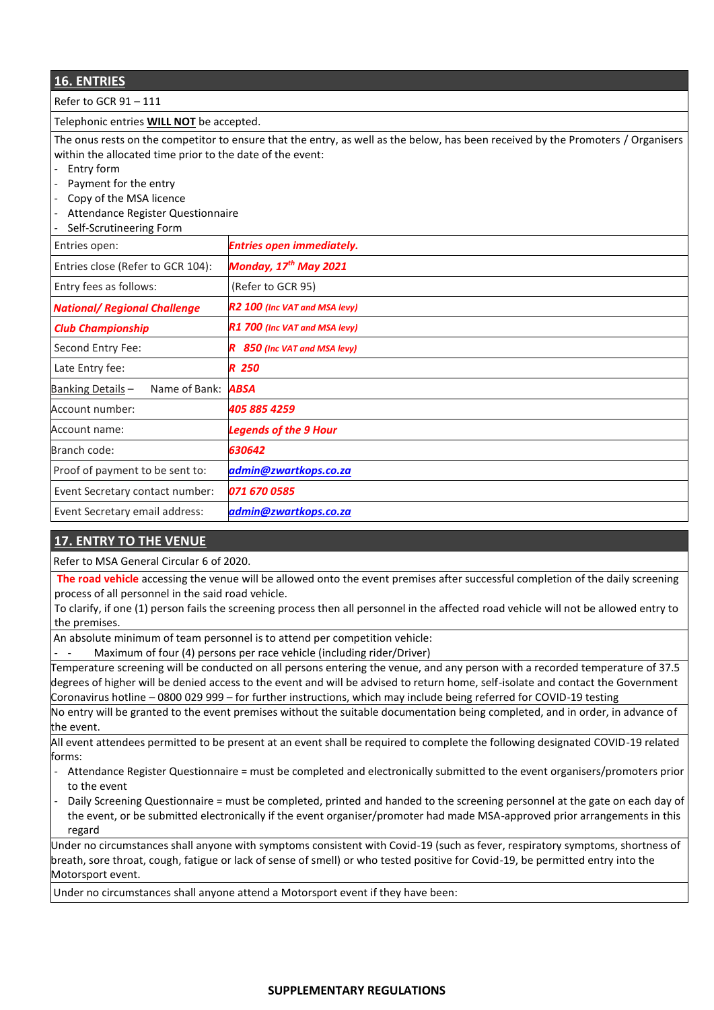| <b>16. ENTRIES</b>                                                                                                               |                                   |  |
|----------------------------------------------------------------------------------------------------------------------------------|-----------------------------------|--|
| Refer to GCR 91-111                                                                                                              |                                   |  |
| Telephonic entries <b>WILL NOT</b> be accepted.                                                                                  |                                   |  |
| The onus rests on the competitor to ensure that the entry, as well as the below, has been received by the Promoters / Organisers |                                   |  |
| within the allocated time prior to the date of the event:                                                                        |                                   |  |
| Entry form<br>$\overline{\phantom{a}}$                                                                                           |                                   |  |
| Payment for the entry                                                                                                            |                                   |  |
| Copy of the MSA licence<br>$\overline{\phantom{a}}$                                                                              |                                   |  |
| Attendance Register Questionnaire                                                                                                |                                   |  |
| Self-Scrutineering Form                                                                                                          |                                   |  |
| Entries open:                                                                                                                    | <b>Entries open immediately.</b>  |  |
| Entries close (Refer to GCR 104):                                                                                                | Monday, 17 <sup>th</sup> May 2021 |  |
| Entry fees as follows:                                                                                                           | (Refer to GCR 95)                 |  |
| <b>National/ Regional Challenge</b>                                                                                              | R2 100 (Inc VAT and MSA levy)     |  |
| <b>Club Championship</b>                                                                                                         | R1 700 (Inc VAT and MSA levy)     |  |
| Second Entry Fee:                                                                                                                | R 850 (Inc VAT and MSA levy)      |  |
| Late Entry fee:                                                                                                                  | R 250                             |  |
| Banking Details-<br>Name of Bank:                                                                                                | <b>ABSA</b>                       |  |
| Account number:                                                                                                                  | 405 885 4259                      |  |
| Account name:                                                                                                                    | <b>Legends of the 9 Hour</b>      |  |
| Branch code:                                                                                                                     | 630642                            |  |
| Proof of payment to be sent to:                                                                                                  | admin@zwartkops.co.za             |  |
| Event Secretary contact number:                                                                                                  | 071 670 0585                      |  |
| Event Secretary email address:                                                                                                   | admin@zwartkops.co.za             |  |

### **17. ENTRY TO THE VENUE**

Refer to MSA General Circular 6 of 2020.

**The road vehicle** accessing the venue will be allowed onto the event premises after successful completion of the daily screening process of all personnel in the said road vehicle.

To clarify, if one (1) person fails the screening process then all personnel in the affected road vehicle will not be allowed entry to the premises.

An absolute minimum of team personnel is to attend per competition vehicle:

Maximum of four (4) persons per race vehicle (including rider/Driver)

Temperature screening will be conducted on all persons entering the venue, and any person with a recorded temperature of 37.5 degrees of higher will be denied access to the event and will be advised to return home, self-isolate and contact the Government Coronavirus hotline – 0800 029 999 – for further instructions, which may include being referred for COVID-19 testing

No entry will be granted to the event premises without the suitable documentation being completed, and in order, in advance of the event.

All event attendees permitted to be present at an event shall be required to complete the following designated COVID-19 related forms:

- Attendance Register Questionnaire = must be completed and electronically submitted to the event organisers/promoters prior to the event
- Daily Screening Questionnaire = must be completed, printed and handed to the screening personnel at the gate on each day of the event, or be submitted electronically if the event organiser/promoter had made MSA-approved prior arrangements in this regard

Under no circumstances shall anyone with symptoms consistent with Covid-19 (such as fever, respiratory symptoms, shortness of breath, sore throat, cough, fatigue or lack of sense of smell) or who tested positive for Covid-19, be permitted entry into the Motorsport event.

Under no circumstances shall anyone attend a Motorsport event if they have been: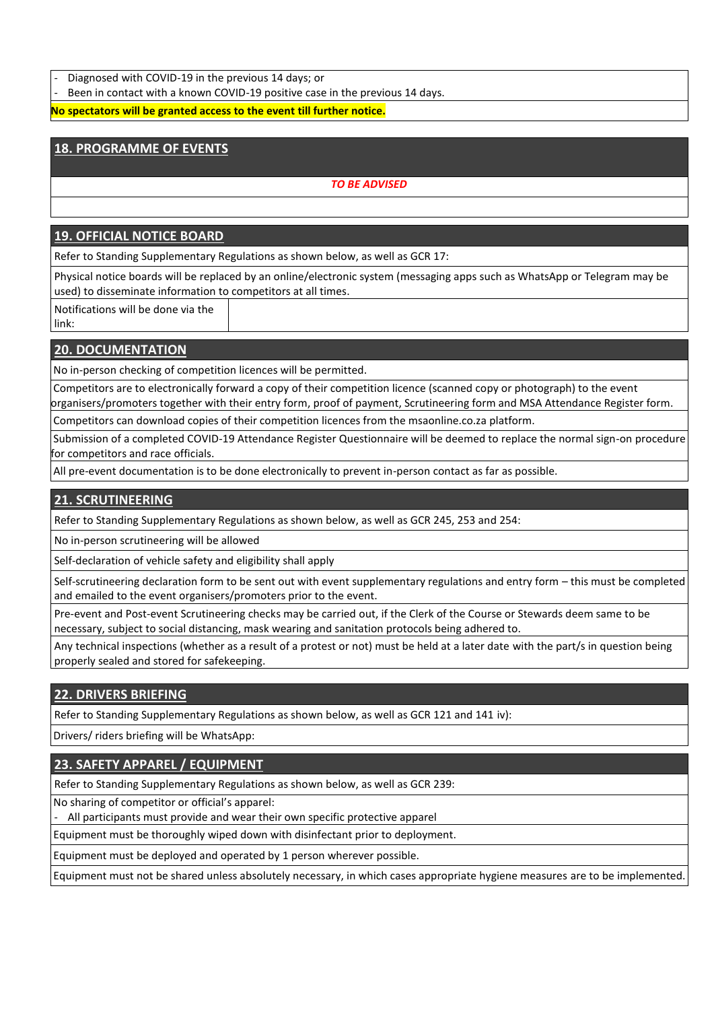- Diagnosed with COVID-19 in the previous 14 days; or

Been in contact with a known COVID-19 positive case in the previous 14 days.

**No spectators will be granted access to the event till further notice.**

# **18. PROGRAMME OF EVENTS**

#### *TO BE ADVISED*

### **19. OFFICIAL NOTICE BOARD**

Refer to Standing Supplementary Regulations as shown below, as well as GCR 17:

Physical notice boards will be replaced by an online/electronic system (messaging apps such as WhatsApp or Telegram may be used) to disseminate information to competitors at all times.

Notifications will be done via the link:

#### **20. DOCUMENTATION**

No in-person checking of competition licences will be permitted.

Competitors are to electronically forward a copy of their competition licence (scanned copy or photograph) to the event organisers/promoters together with their entry form, proof of payment, Scrutineering form and MSA Attendance Register form.

Competitors can download copies of their competition licences from the msaonline.co.za platform.

Submission of a completed COVID-19 Attendance Register Questionnaire will be deemed to replace the normal sign-on procedure for competitors and race officials.

All pre-event documentation is to be done electronically to prevent in-person contact as far as possible.

# **21. SCRUTINEERING**

Refer to Standing Supplementary Regulations as shown below, as well as GCR 245, 253 and 254:

No in-person scrutineering will be allowed

Self-declaration of vehicle safety and eligibility shall apply

Self-scrutineering declaration form to be sent out with event supplementary regulations and entry form – this must be completed and emailed to the event organisers/promoters prior to the event.

Pre-event and Post-event Scrutineering checks may be carried out, if the Clerk of the Course or Stewards deem same to be necessary, subject to social distancing, mask wearing and sanitation protocols being adhered to.

Any technical inspections (whether as a result of a protest or not) must be held at a later date with the part/s in question being properly sealed and stored for safekeeping.

### **22. DRIVERS BRIEFING**

Refer to Standing Supplementary Regulations as shown below, as well as GCR 121 and 141 iv):

Drivers/ riders briefing will be WhatsApp:

### **23. SAFETY APPAREL / EQUIPMENT**

Refer to Standing Supplementary Regulations as shown below, as well as GCR 239:

No sharing of competitor or official's apparel:

- All participants must provide and wear their own specific protective apparel

Equipment must be thoroughly wiped down with disinfectant prior to deployment.

Equipment must be deployed and operated by 1 person wherever possible.

Equipment must not be shared unless absolutely necessary, in which cases appropriate hygiene measures are to be implemented.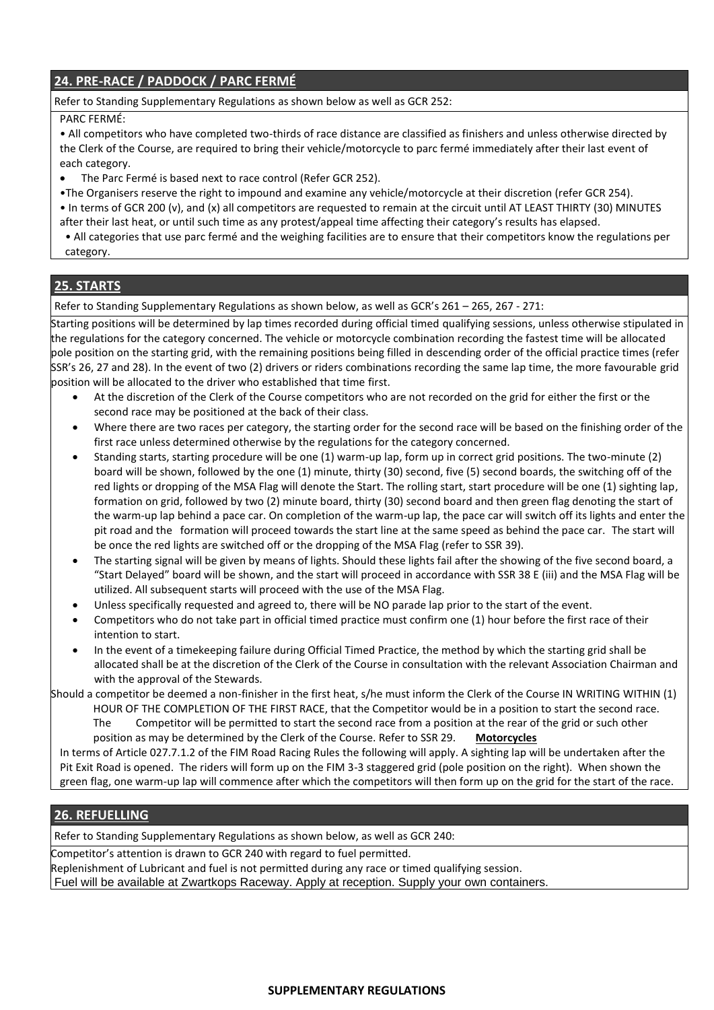# **24. PRE-RACE / PADDOCK / PARC FERMÉ**

#### Refer to Standing Supplementary Regulations as shown below as well as GCR 252:

#### PARC FERMÉ:

• All competitors who have completed two-thirds of race distance are classified as finishers and unless otherwise directed by the Clerk of the Course, are required to bring their vehicle/motorcycle to parc fermé immediately after their last event of each category.

- The Parc Fermé is based next to race control (Refer GCR 252).
- •The Organisers reserve the right to impound and examine any vehicle/motorcycle at their discretion (refer GCR 254).
- In terms of GCR 200 (v), and (x) all competitors are requested to remain at the circuit until AT LEAST THIRTY (30) MINUTES after their last heat, or until such time as any protest/appeal time affecting their category's results has elapsed.

• All categories that use parc fermé and the weighing facilities are to ensure that their competitors know the regulations per category.

### **25. STARTS**

Refer to Standing Supplementary Regulations as shown below, as well as GCR's 261 – 265, 267 - 271:

Starting positions will be determined by lap times recorded during official timed qualifying sessions, unless otherwise stipulated in the regulations for the category concerned. The vehicle or motorcycle combination recording the fastest time will be allocated pole position on the starting grid, with the remaining positions being filled in descending order of the official practice times (refer SSR's 26, 27 and 28). In the event of two (2) drivers or riders combinations recording the same lap time, the more favourable grid position will be allocated to the driver who established that time first.

- At the discretion of the Clerk of the Course competitors who are not recorded on the grid for either the first or the second race may be positioned at the back of their class.
- Where there are two races per category, the starting order for the second race will be based on the finishing order of the first race unless determined otherwise by the regulations for the category concerned.
- Standing starts, starting procedure will be one (1) warm-up lap, form up in correct grid positions. The two-minute (2) board will be shown, followed by the one (1) minute, thirty (30) second, five (5) second boards, the switching off of the red lights or dropping of the MSA Flag will denote the Start. The rolling start, start procedure will be one (1) sighting lap, formation on grid, followed by two (2) minute board, thirty (30) second board and then green flag denoting the start of the warm-up lap behind a pace car. On completion of the warm-up lap, the pace car will switch off its lights and enter the pit road and the formation will proceed towards the start line at the same speed as behind the pace car. The start will be once the red lights are switched off or the dropping of the MSA Flag (refer to SSR 39).
- The starting signal will be given by means of lights. Should these lights fail after the showing of the five second board, a "Start Delayed" board will be shown, and the start will proceed in accordance with SSR 38 E (iii) and the MSA Flag will be utilized. All subsequent starts will proceed with the use of the MSA Flag.
- Unless specifically requested and agreed to, there will be NO parade lap prior to the start of the event.
- Competitors who do not take part in official timed practice must confirm one (1) hour before the first race of their intention to start.
- In the event of a timekeeping failure during Official Timed Practice, the method by which the starting grid shall be allocated shall be at the discretion of the Clerk of the Course in consultation with the relevant Association Chairman and with the approval of the Stewards.

Should a competitor be deemed a non-finisher in the first heat, s/he must inform the Clerk of the Course IN WRITING WITHIN (1) HOUR OF THE COMPLETION OF THE FIRST RACE, that the Competitor would be in a position to start the second race.

The Competitor will be permitted to start the second race from a position at the rear of the grid or such other position as may be determined by the Clerk of the Course. Refer to SSR 29. **Motorcycles**

In terms of Article 027.7.1.2 of the FIM Road Racing Rules the following will apply. A sighting lap will be undertaken after the Pit Exit Road is opened. The riders will form up on the FIM 3-3 staggered grid (pole position on the right). When shown the green flag, one warm-up lap will commence after which the competitors will then form up on the grid for the start of the race.

#### **26. REFUELLING**

Refer to Standing Supplementary Regulations as shown below, as well as GCR 240:

Competitor's attention is drawn to GCR 240 with regard to fuel permitted.

Replenishment of Lubricant and fuel is not permitted during any race or timed qualifying session.

Fuel will be available at Zwartkops Raceway. Apply at reception. Supply your own containers.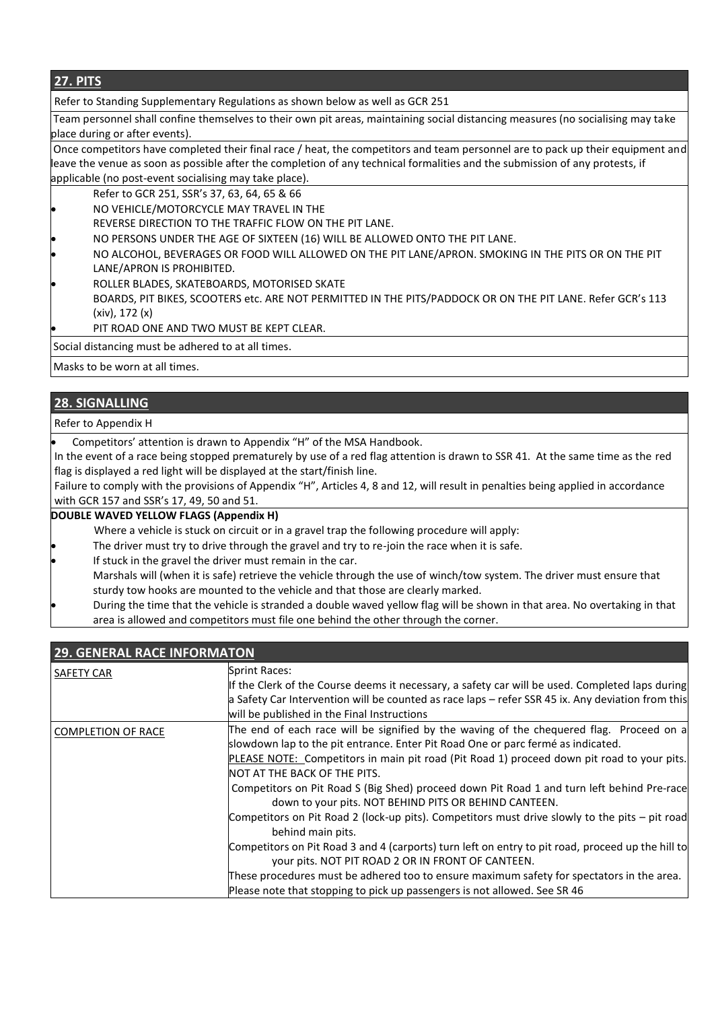### **27. PITS**

Refer to Standing Supplementary Regulations as shown below as well as GCR 251

Team personnel shall confine themselves to their own pit areas, maintaining social distancing measures (no socialising may take place during or after events).

Once competitors have completed their final race / heat, the competitors and team personnel are to pack up their equipment and leave the venue as soon as possible after the completion of any technical formalities and the submission of any protests, if applicable (no post-event socialising may take place).

- Refer to GCR 251, SSR's 37, 63, 64, 65 & 66
- NO VEHICLE/MOTORCYCLE MAY TRAVEL IN THE
- REVERSE DIRECTION TO THE TRAFFIC FLOW ON THE PIT LANE.
- NO PERSONS UNDER THE AGE OF SIXTEEN (16) WILL BE ALLOWED ONTO THE PIT LANE.
- NO ALCOHOL, BEVERAGES OR FOOD WILL ALLOWED ON THE PIT LANE/APRON. SMOKING IN THE PITS OR ON THE PIT LANE/APRON IS PROHIBITED.
- ROLLER BLADES, SKATEBOARDS, MOTORISED SKATE
- BOARDS, PIT BIKES, SCOOTERS etc. ARE NOT PERMITTED IN THE PITS/PADDOCK OR ON THE PIT LANE. Refer GCR's 113 (xiv), 172 (x)
- PIT ROAD ONE AND TWO MUST BE KEPT CLEAR.

Social distancing must be adhered to at all times.

Masks to be worn at all times.

### **28. SIGNALLING**

#### Refer to Appendix H

Competitors' attention is drawn to Appendix "H" of the MSA Handbook.

In the event of a race being stopped prematurely by use of a red flag attention is drawn to SSR 41. At the same time as the red flag is displayed a red light will be displayed at the start/finish line.

Failure to comply with the provisions of Appendix "H", Articles 4, 8 and 12, will result in penalties being applied in accordance with GCR 157 and SSR's 17, 49, 50 and 51.

#### **DOUBLE WAVED YELLOW FLAGS (Appendix H)**

- Where a vehicle is stuck on circuit or in a gravel trap the following procedure will apply:
- The driver must try to drive through the gravel and try to re-join the race when it is safe.
- If stuck in the gravel the driver must remain in the car.
- Marshals will (when it is safe) retrieve the vehicle through the use of winch/tow system. The driver must ensure that sturdy tow hooks are mounted to the vehicle and that those are clearly marked.
- During the time that the vehicle is stranded a double waved yellow flag will be shown in that area. No overtaking in that area is allowed and competitors must file one behind the other through the corner.

| <b>29. GENERAL RACE INFORMATON</b> |                                                                                                                                                                                                                                                                                                                                                                                                                                                                                                                                                                                                                                                                                                                                                                                                                                                                                                                              |  |
|------------------------------------|------------------------------------------------------------------------------------------------------------------------------------------------------------------------------------------------------------------------------------------------------------------------------------------------------------------------------------------------------------------------------------------------------------------------------------------------------------------------------------------------------------------------------------------------------------------------------------------------------------------------------------------------------------------------------------------------------------------------------------------------------------------------------------------------------------------------------------------------------------------------------------------------------------------------------|--|
| <b>SAFETY CAR</b>                  | Sprint Races:<br>If the Clerk of the Course deems it necessary, a safety car will be used. Completed laps during<br>a Safety Car Intervention will be counted as race laps - refer SSR 45 ix. Any deviation from this<br>will be published in the Final Instructions                                                                                                                                                                                                                                                                                                                                                                                                                                                                                                                                                                                                                                                         |  |
| <b>COMPLETION OF RACE</b>          | The end of each race will be signified by the waving of the chequered flag. Proceed on a<br>slowdown lap to the pit entrance. Enter Pit Road One or parc fermé as indicated.<br>PLEASE NOTE: Competitors in main pit road (Pit Road 1) proceed down pit road to your pits.<br>NOT AT THE BACK OF THE PITS.<br>Competitors on Pit Road S (Big Shed) proceed down Pit Road 1 and turn left behind Pre-race<br>down to your pits. NOT BEHIND PITS OR BEHIND CANTEEN.<br>Competitors on Pit Road 2 (lock-up pits). Competitors must drive slowly to the pits - pit road<br>behind main pits.<br>Competitors on Pit Road 3 and 4 (carports) turn left on entry to pit road, proceed up the hill to<br>your pits. NOT PIT ROAD 2 OR IN FRONT OF CANTEEN.<br>These procedures must be adhered too to ensure maximum safety for spectators in the area.<br>Please note that stopping to pick up passengers is not allowed. See SR 46 |  |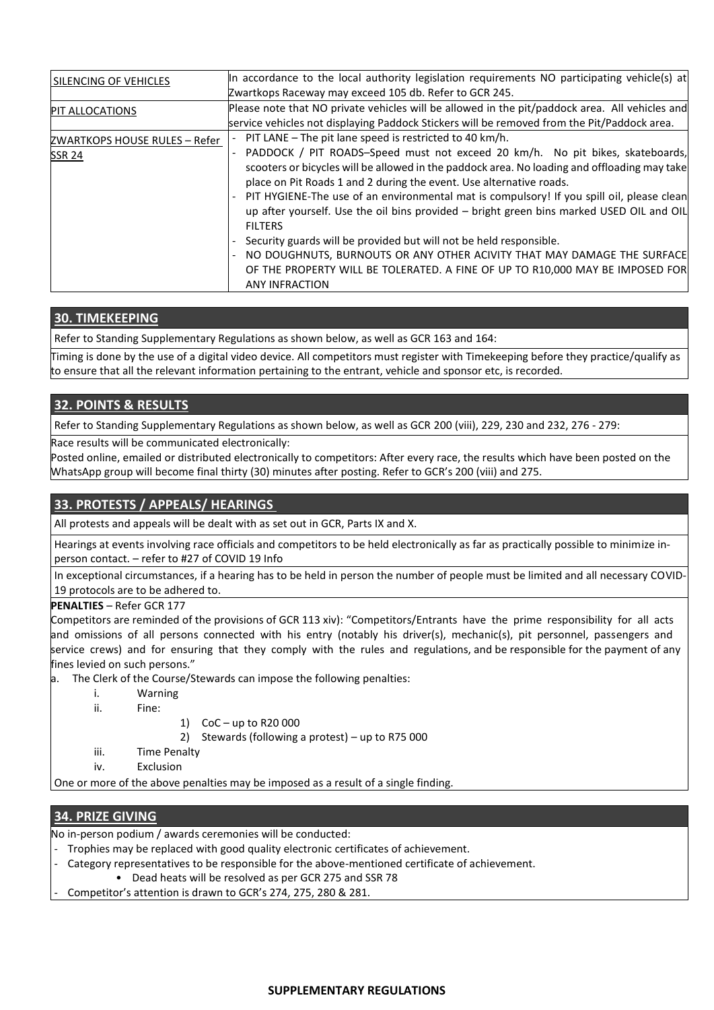| SILENCING OF VEHICLES         | In accordance to the local authority legislation requirements NO participating vehicle(s) at   |
|-------------------------------|------------------------------------------------------------------------------------------------|
|                               | Zwartkops Raceway may exceed 105 db. Refer to GCR 245.                                         |
| <b>PIT ALLOCATIONS</b>        | Please note that NO private vehicles will be allowed in the pit/paddock area. All vehicles and |
|                               | service vehicles not displaying Paddock Stickers will be removed from the Pit/Paddock area.    |
| ZWARTKOPS HOUSE RULES - Refer | PIT LANE - The pit lane speed is restricted to 40 km/h.                                        |
| <b>SSR 24</b>                 | PADDOCK / PIT ROADS-Speed must not exceed 20 km/h. No pit bikes, skateboards,                  |
|                               | scooters or bicycles will be allowed in the paddock area. No loading and offloading may take   |
|                               | place on Pit Roads 1 and 2 during the event. Use alternative roads.                            |
|                               | PIT HYGIENE-The use of an environmental mat is compulsory! If you spill oil, please clean      |
|                               | up after yourself. Use the oil bins provided - bright green bins marked USED OIL and OIL       |
|                               | <b>FILTERS</b>                                                                                 |
|                               | Security guards will be provided but will not be held responsible.                             |
|                               | NO DOUGHNUTS, BURNOUTS OR ANY OTHER ACIVITY THAT MAY DAMAGE THE SURFACE                        |
|                               | OF THE PROPERTY WILL BE TOLERATED. A FINE OF UP TO R10,000 MAY BE IMPOSED FOR                  |
|                               | <b>ANY INFRACTION</b>                                                                          |

### **30. TIMEKEEPING**

Refer to Standing Supplementary Regulations as shown below, as well as GCR 163 and 164:

Timing is done by the use of a digital video device. All competitors must register with Timekeeping before they practice/qualify as to ensure that all the relevant information pertaining to the entrant, vehicle and sponsor etc, is recorded.

### **32. POINTS & RESULTS**

Refer to Standing Supplementary Regulations as shown below, as well as GCR 200 (viii), 229, 230 and 232, 276 - 279:

Race results will be communicated electronically:

Posted online, emailed or distributed electronically to competitors: After every race, the results which have been posted on the WhatsApp group will become final thirty (30) minutes after posting. Refer to GCR's 200 (viii) and 275.

### **33. PROTESTS / APPEALS/ HEARINGS**

All protests and appeals will be dealt with as set out in GCR, Parts IX and X.

Hearings at events involving race officials and competitors to be held electronically as far as practically possible to minimize inperson contact. – refer to #27 of COVID 19 Info

In exceptional circumstances, if a hearing has to be held in person the number of people must be limited and all necessary COVID-19 protocols are to be adhered to.

**PENALTIES** – Refer GCR 177

Competitors are reminded of the provisions of GCR 113 xiv): "Competitors/Entrants have the prime responsibility for all acts and omissions of all persons connected with his entry (notably his driver(s), mechanic(s), pit personnel, passengers and service crews) and for ensuring that they comply with the rules and regulations, and be responsible for the payment of any fines levied on such persons."

- a. The Clerk of the Course/Stewards can impose the following penalties:
	- i. Warning
	- ii. Fine:
- 1) CoC up to R20 000

2) Stewards (following a protest) – up to R75 000

- iii. Time Penalty
- iv. Exclusion

One or more of the above penalties may be imposed as a result of a single finding.

### **34. PRIZE GIVING**

No in-person podium / awards ceremonies will be conducted:

- Trophies may be replaced with good quality electronic certificates of achievement.
- Category representatives to be responsible for the above-mentioned certificate of achievement.
	- Dead heats will be resolved as per GCR 275 and SSR 78
- Competitor's attention is drawn to GCR's 274, 275, 280 & 281.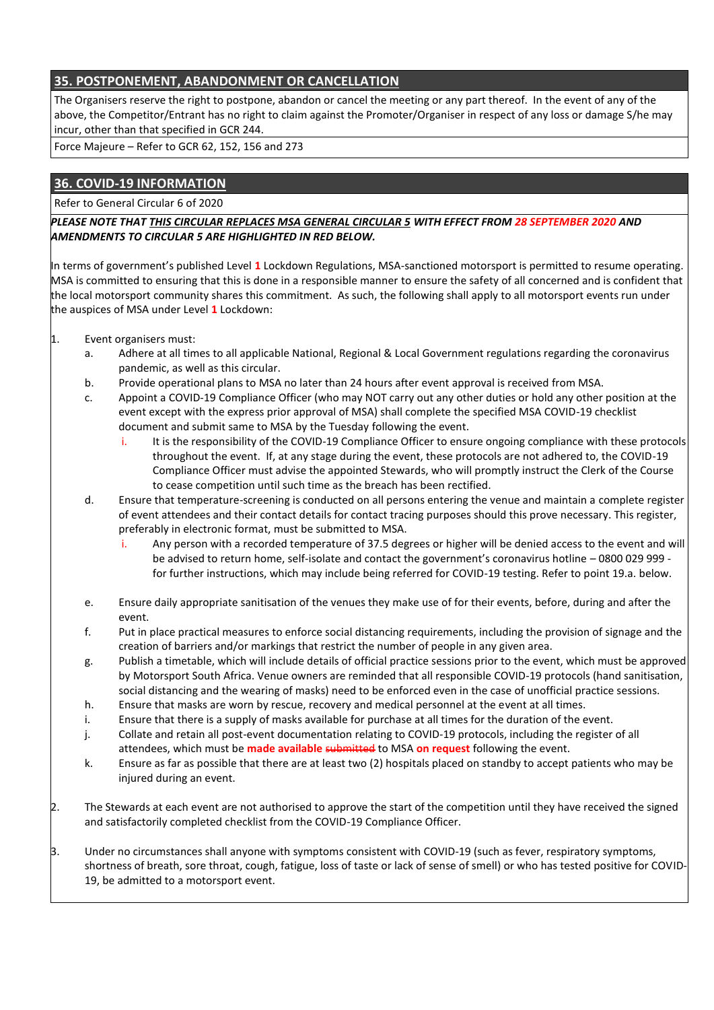# **35. POSTPONEMENT, ABANDONMENT OR CANCELLATION**

The Organisers reserve the right to postpone, abandon or cancel the meeting or any part thereof. In the event of any of the above, the Competitor/Entrant has no right to claim against the Promoter/Organiser in respect of any loss or damage S/he may incur, other than that specified in GCR 244.

Force Majeure – Refer to GCR 62, 152, 156 and 273

### **36. COVID-19 INFORMATION**

Refer to General Circular 6 of 2020

*PLEASE NOTE THAT THIS CIRCULAR REPLACES MSA GENERAL CIRCULAR 5 WITH EFFECT FROM 28 SEPTEMBER 2020 AND AMENDMENTS TO CIRCULAR 5 ARE HIGHLIGHTED IN RED BELOW.*

In terms of government's published Level **1** Lockdown Regulations, MSA-sanctioned motorsport is permitted to resume operating. MSA is committed to ensuring that this is done in a responsible manner to ensure the safety of all concerned and is confident that the local motorsport community shares this commitment. As such, the following shall apply to all motorsport events run under the auspices of MSA under Level **1** Lockdown:

- 1. Event organisers must:
	- a. Adhere at all times to all applicable National, Regional & Local Government regulations regarding the coronavirus pandemic, as well as this circular.
	- b. Provide operational plans to MSA no later than 24 hours after event approval is received from MSA.
	- c. Appoint a COVID-19 Compliance Officer (who may NOT carry out any other duties or hold any other position at the event except with the express prior approval of MSA) shall complete the specified MSA COVID-19 checklist document and submit same to MSA by the Tuesday following the event.
		- i. It is the responsibility of the COVID-19 Compliance Officer to ensure ongoing compliance with these protocols throughout the event. If, at any stage during the event, these protocols are not adhered to, the COVID-19 Compliance Officer must advise the appointed Stewards, who will promptly instruct the Clerk of the Course to cease competition until such time as the breach has been rectified.
	- d. Ensure that temperature-screening is conducted on all persons entering the venue and maintain a complete register of event attendees and their contact details for contact tracing purposes should this prove necessary. This register, preferably in electronic format, must be submitted to MSA.
		- i. Any person with a recorded temperature of 37.5 degrees or higher will be denied access to the event and will be advised to return home, self-isolate and contact the government's coronavirus hotline – 0800 029 999 for further instructions, which may include being referred for COVID-19 testing. Refer to point 19.a. below.
	- e. Ensure daily appropriate sanitisation of the venues they make use of for their events, before, during and after the event.
	- f. Put in place practical measures to enforce social distancing requirements, including the provision of signage and the creation of barriers and/or markings that restrict the number of people in any given area.
	- g. Publish a timetable, which will include details of official practice sessions prior to the event, which must be approved by Motorsport South Africa. Venue owners are reminded that all responsible COVID-19 protocols (hand sanitisation, social distancing and the wearing of masks) need to be enforced even in the case of unofficial practice sessions.
	- h. Ensure that masks are worn by rescue, recovery and medical personnel at the event at all times.
	- i. Ensure that there is a supply of masks available for purchase at all times for the duration of the event.
	- j. Collate and retain all post-event documentation relating to COVID-19 protocols, including the register of all attendees, which must be **made available** submitted to MSA **on request** following the event.
	- k. Ensure as far as possible that there are at least two (2) hospitals placed on standby to accept patients who may be injured during an event.
- 2. The Stewards at each event are not authorised to approve the start of the competition until they have received the signed and satisfactorily completed checklist from the COVID-19 Compliance Officer.
- 3. Under no circumstances shall anyone with symptoms consistent with COVID-19 (such as fever, respiratory symptoms, shortness of breath, sore throat, cough, fatigue, loss of taste or lack of sense of smell) or who has tested positive for COVID-19, be admitted to a motorsport event.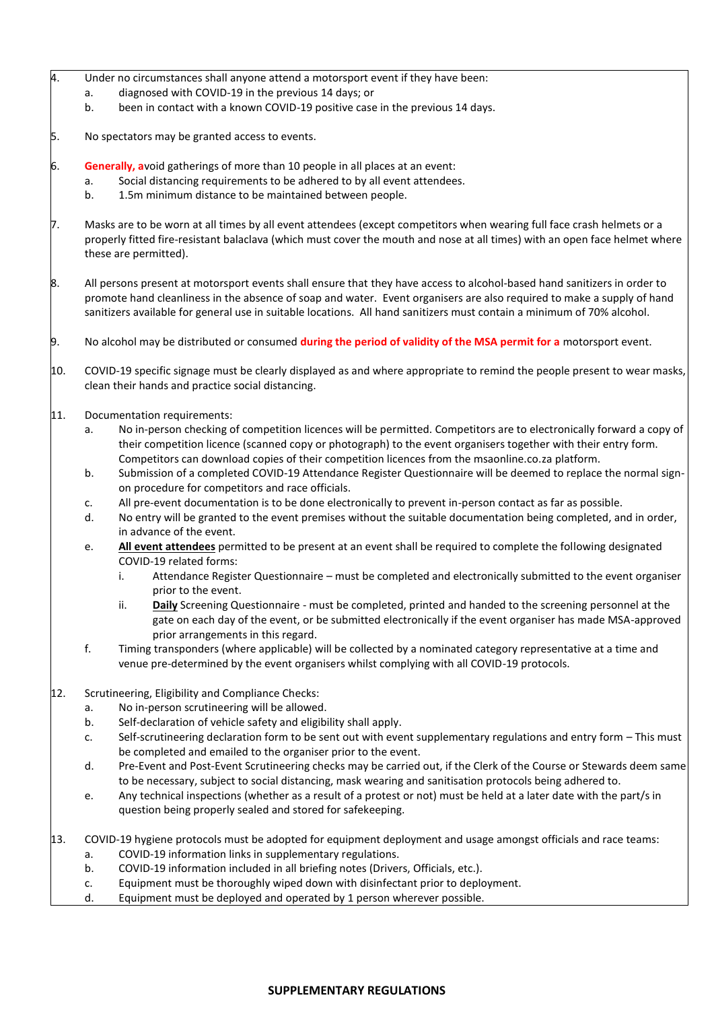- 4. Under no circumstances shall anyone attend a motorsport event if they have been:
	- a. diagnosed with COVID-19 in the previous 14 days; or
	- b. been in contact with a known COVID-19 positive case in the previous 14 days.
- 5. No spectators may be granted access to events.
- 6. **Generally, a**void gatherings of more than 10 people in all places at an event:
	- a. Social distancing requirements to be adhered to by all event attendees.
	- b. 1.5m minimum distance to be maintained between people.
- 7. Masks are to be worn at all times by all event attendees (except competitors when wearing full face crash helmets or a properly fitted fire-resistant balaclava (which must cover the mouth and nose at all times) with an open face helmet where these are permitted).
- 8. All persons present at motorsport events shall ensure that they have access to alcohol-based hand sanitizers in order to promote hand cleanliness in the absence of soap and water. Event organisers are also required to make a supply of hand sanitizers available for general use in suitable locations. All hand sanitizers must contain a minimum of 70% alcohol.
- 9. No alcohol may be distributed or consumed **during the period of validity of the MSA permit for a** motorsport event.
- 10. COVID-19 specific signage must be clearly displayed as and where appropriate to remind the people present to wear masks, clean their hands and practice social distancing.
- 11. Documentation requirements:
	- a. No in-person checking of competition licences will be permitted. Competitors are to electronically forward a copy of their competition licence (scanned copy or photograph) to the event organisers together with their entry form. Competitors can download copies of their competition licences from the msaonline.co.za platform.
	- b. Submission of a completed COVID-19 Attendance Register Questionnaire will be deemed to replace the normal signon procedure for competitors and race officials.
	- c. All pre-event documentation is to be done electronically to prevent in-person contact as far as possible.
	- d. No entry will be granted to the event premises without the suitable documentation being completed, and in order, in advance of the event.
	- e. **All event attendees** permitted to be present at an event shall be required to complete the following designated COVID-19 related forms:
		- i. Attendance Register Questionnaire must be completed and electronically submitted to the event organiser prior to the event.
		- ii. **Daily** Screening Questionnaire must be completed, printed and handed to the screening personnel at the gate on each day of the event, or be submitted electronically if the event organiser has made MSA-approved prior arrangements in this regard.
	- f. Timing transponders (where applicable) will be collected by a nominated category representative at a time and venue pre-determined by the event organisers whilst complying with all COVID-19 protocols.
- 12. Scrutineering, Eligibility and Compliance Checks:
	- a. No in-person scrutineering will be allowed.
	- b. Self-declaration of vehicle safety and eligibility shall apply.
	- c. Self-scrutineering declaration form to be sent out with event supplementary regulations and entry form This must be completed and emailed to the organiser prior to the event.
	- d. Pre-Event and Post-Event Scrutineering checks may be carried out, if the Clerk of the Course or Stewards deem same to be necessary, subject to social distancing, mask wearing and sanitisation protocols being adhered to.
	- e. Any technical inspections (whether as a result of a protest or not) must be held at a later date with the part/s in question being properly sealed and stored for safekeeping.
- 13. COVID-19 hygiene protocols must be adopted for equipment deployment and usage amongst officials and race teams:
	- a. COVID-19 information links in supplementary regulations.
	- b. COVID-19 information included in all briefing notes (Drivers, Officials, etc.).
	- c. Equipment must be thoroughly wiped down with disinfectant prior to deployment.
	- d. Equipment must be deployed and operated by 1 person wherever possible.

#### **SUPPLEMENTARY REGULATIONS**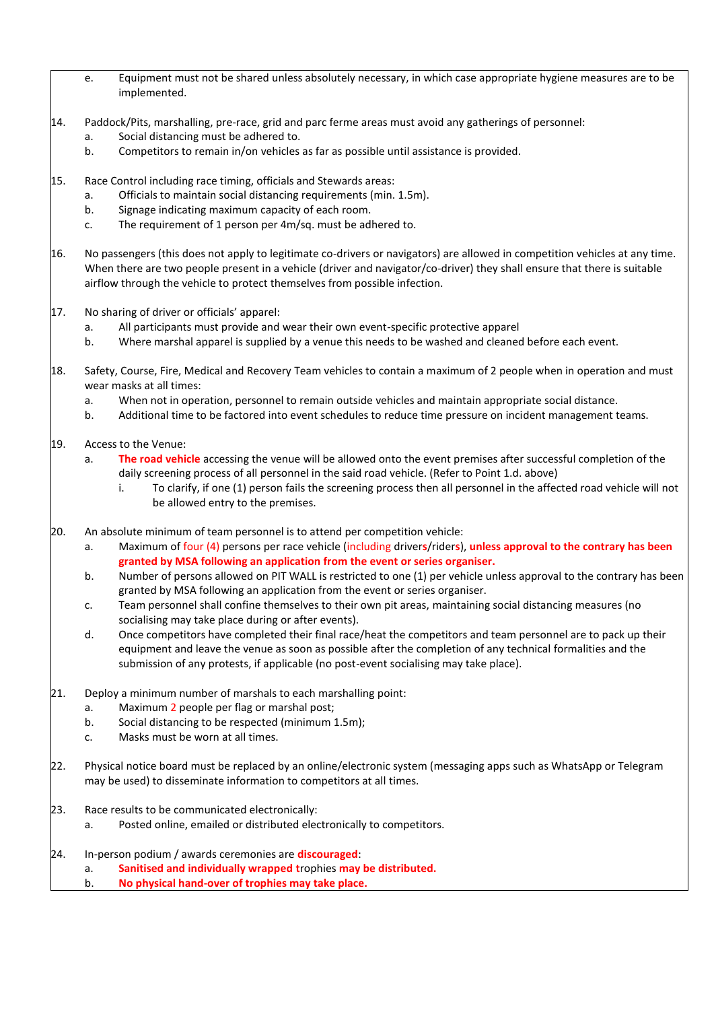- e. Equipment must not be shared unless absolutely necessary, in which case appropriate hygiene measures are to be implemented.
- 14. Paddock/Pits, marshalling, pre-race, grid and parc ferme areas must avoid any gatherings of personnel:
	- a. Social distancing must be adhered to.
	- b. Competitors to remain in/on vehicles as far as possible until assistance is provided.
- 15. Race Control including race timing, officials and Stewards areas:
	- a. Officials to maintain social distancing requirements (min. 1.5m).
	- b. Signage indicating maximum capacity of each room.
	- c. The requirement of 1 person per 4m/sq. must be adhered to.
- 16. No passengers (this does not apply to legitimate co-drivers or navigators) are allowed in competition vehicles at any time. When there are two people present in a vehicle (driver and navigator/co-driver) they shall ensure that there is suitable airflow through the vehicle to protect themselves from possible infection.
- 17. No sharing of driver or officials' apparel:
	- a. All participants must provide and wear their own event-specific protective apparel
	- b. Where marshal apparel is supplied by a venue this needs to be washed and cleaned before each event.
- 18. Safety, Course, Fire, Medical and Recovery Team vehicles to contain a maximum of 2 people when in operation and must wear masks at all times:
	- a. When not in operation, personnel to remain outside vehicles and maintain appropriate social distance.
	- b. Additional time to be factored into event schedules to reduce time pressure on incident management teams.
- 19. Access to the Venue:
	- a. **The road vehicle** accessing the venue will be allowed onto the event premises after successful completion of the daily screening process of all personnel in the said road vehicle. (Refer to Point 1.d. above)
		- i. To clarify, if one (1) person fails the screening process then all personnel in the affected road vehicle will not be allowed entry to the premises.
- 20. An absolute minimum of team personnel is to attend per competition vehicle:
	- a. Maximum of four (4) persons per race vehicle (including driver**s**/rider**s**), **unless approval to the contrary has been granted by MSA following an application from the event or series organiser.**
	- b. Number of persons allowed on PIT WALL is restricted to one (1) per vehicle unless approval to the contrary has been granted by MSA following an application from the event or series organiser.
	- c. Team personnel shall confine themselves to their own pit areas, maintaining social distancing measures (no socialising may take place during or after events).
	- d. Once competitors have completed their final race/heat the competitors and team personnel are to pack up their equipment and leave the venue as soon as possible after the completion of any technical formalities and the submission of any protests, if applicable (no post-event socialising may take place).
- 21. Deploy a minimum number of marshals to each marshalling point:
	- a. Maximum 2 people per flag or marshal post;
	- b. Social distancing to be respected (minimum 1.5m);
	- c. Masks must be worn at all times.
- 22. Physical notice board must be replaced by an online/electronic system (messaging apps such as WhatsApp or Telegram may be used) to disseminate information to competitors at all times.
- 23. Race results to be communicated electronically:
	- a. Posted online, emailed or distributed electronically to competitors.
- 24. In-person podium / awards ceremonies are **discouraged**:
	- a. **Sanitised and individually wrapped t**rophies **may be distributed.**
	- b. **No physical hand-over of trophies may take place.**